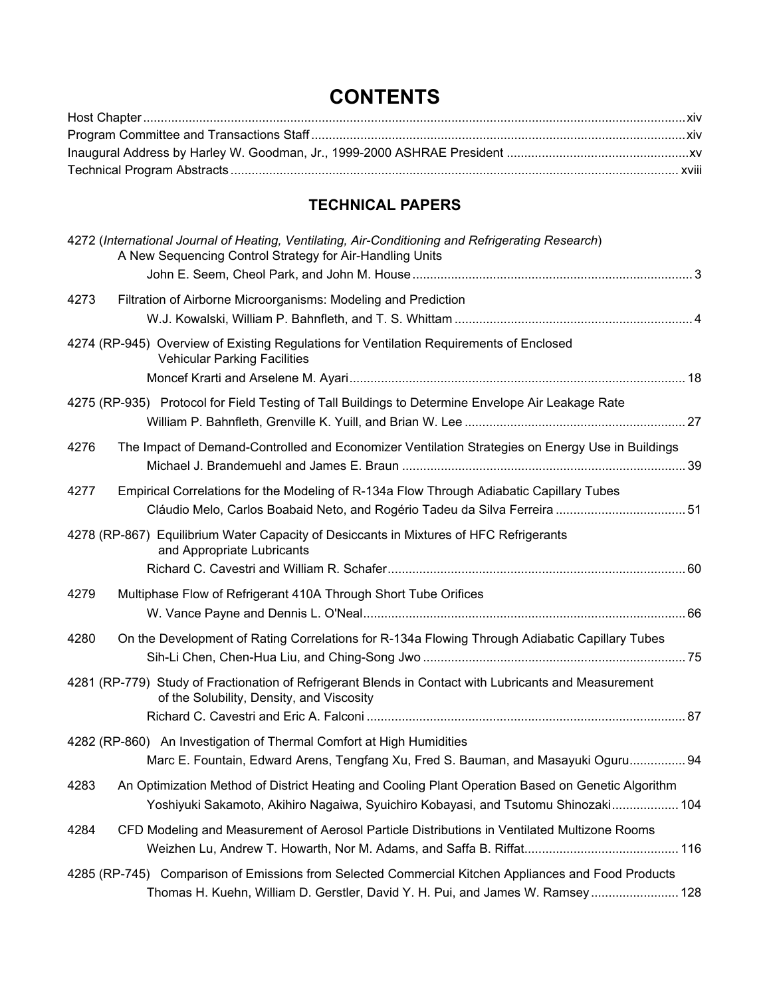# **CONTENTS**

## **TECHNICAL PAPERS**

| 4272 (International Journal of Heating, Ventilating, Air-Conditioning and Refrigerating Research)<br>A New Sequencing Control Strategy for Air-Handling Units                                   |  |
|-------------------------------------------------------------------------------------------------------------------------------------------------------------------------------------------------|--|
|                                                                                                                                                                                                 |  |
| 4273<br>Filtration of Airborne Microorganisms: Modeling and Prediction                                                                                                                          |  |
| 4274 (RP-945) Overview of Existing Regulations for Ventilation Requirements of Enclosed<br><b>Vehicular Parking Facilities</b>                                                                  |  |
| 4275 (RP-935) Protocol for Field Testing of Tall Buildings to Determine Envelope Air Leakage Rate                                                                                               |  |
| The Impact of Demand-Controlled and Economizer Ventilation Strategies on Energy Use in Buildings<br>4276                                                                                        |  |
| Empirical Correlations for the Modeling of R-134a Flow Through Adiabatic Capillary Tubes<br>4277<br>Cláudio Melo, Carlos Boabaid Neto, and Rogério Tadeu da Silva Ferreira  51                  |  |
| 4278 (RP-867) Equilibrium Water Capacity of Desiccants in Mixtures of HFC Refrigerants<br>and Appropriate Lubricants                                                                            |  |
| 4279<br>Multiphase Flow of Refrigerant 410A Through Short Tube Orifices                                                                                                                         |  |
| 4280<br>On the Development of Rating Correlations for R-134a Flowing Through Adiabatic Capillary Tubes                                                                                          |  |
| 4281 (RP-779) Study of Fractionation of Refrigerant Blends in Contact with Lubricants and Measurement<br>of the Solubility, Density, and Viscosity                                              |  |
| 4282 (RP-860) An Investigation of Thermal Comfort at High Humidities<br>Marc E. Fountain, Edward Arens, Tengfang Xu, Fred S. Bauman, and Masayuki Oguru 94                                      |  |
| An Optimization Method of District Heating and Cooling Plant Operation Based on Genetic Algorithm<br>4283<br>Yoshiyuki Sakamoto, Akihiro Nagaiwa, Syuichiro Kobayasi, and Tsutomu Shinozaki 104 |  |
| CFD Modeling and Measurement of Aerosol Particle Distributions in Ventilated Multizone Rooms<br>4284                                                                                            |  |
| 4285 (RP-745) Comparison of Emissions from Selected Commercial Kitchen Appliances and Food Products<br>Thomas H. Kuehn, William D. Gerstler, David Y. H. Pui, and James W. Ramsey 128           |  |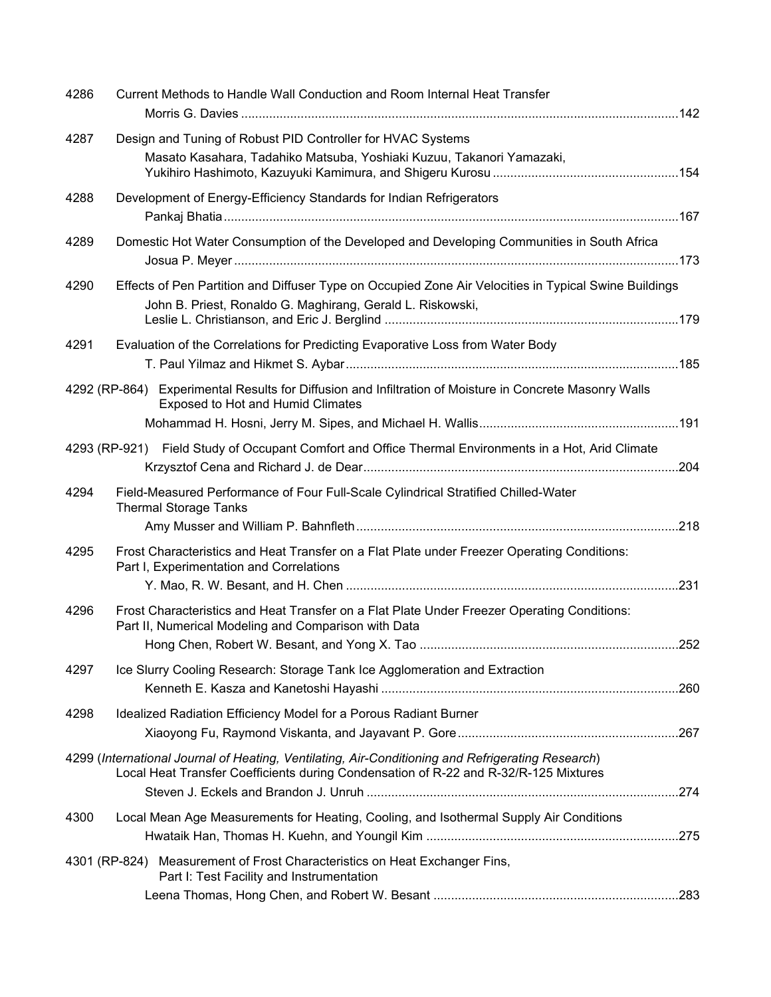| 4286 | Current Methods to Handle Wall Conduction and Room Internal Heat Transfer                                                                                                                 |  |
|------|-------------------------------------------------------------------------------------------------------------------------------------------------------------------------------------------|--|
| 4287 | Design and Tuning of Robust PID Controller for HVAC Systems<br>Masato Kasahara, Tadahiko Matsuba, Yoshiaki Kuzuu, Takanori Yamazaki,                                                      |  |
| 4288 | Development of Energy-Efficiency Standards for Indian Refrigerators                                                                                                                       |  |
| 4289 | Domestic Hot Water Consumption of the Developed and Developing Communities in South Africa                                                                                                |  |
| 4290 | Effects of Pen Partition and Diffuser Type on Occupied Zone Air Velocities in Typical Swine Buildings<br>John B. Priest, Ronaldo G. Maghirang, Gerald L. Riskowski,                       |  |
| 4291 | Evaluation of the Correlations for Predicting Evaporative Loss from Water Body                                                                                                            |  |
|      | 4292 (RP-864) Experimental Results for Diffusion and Infiltration of Moisture in Concrete Masonry Walls<br><b>Exposed to Hot and Humid Climates</b>                                       |  |
|      | 4293 (RP-921) Field Study of Occupant Comfort and Office Thermal Environments in a Hot, Arid Climate                                                                                      |  |
| 4294 | Field-Measured Performance of Four Full-Scale Cylindrical Stratified Chilled-Water<br><b>Thermal Storage Tanks</b>                                                                        |  |
| 4295 | Frost Characteristics and Heat Transfer on a Flat Plate under Freezer Operating Conditions:<br>Part I, Experimentation and Correlations                                                   |  |
| 4296 | Frost Characteristics and Heat Transfer on a Flat Plate Under Freezer Operating Conditions:<br>Part II, Numerical Modeling and Comparison with Data                                       |  |
| 4297 | Ice Slurry Cooling Research: Storage Tank Ice Agglomeration and Extraction                                                                                                                |  |
| 4298 | Idealized Radiation Efficiency Model for a Porous Radiant Burner                                                                                                                          |  |
|      | 4299 (International Journal of Heating, Ventilating, Air-Conditioning and Refrigerating Research)<br>Local Heat Transfer Coefficients during Condensation of R-22 and R-32/R-125 Mixtures |  |
| 4300 | Local Mean Age Measurements for Heating, Cooling, and Isothermal Supply Air Conditions                                                                                                    |  |
|      | 4301 (RP-824) Measurement of Frost Characteristics on Heat Exchanger Fins,<br>Part I: Test Facility and Instrumentation                                                                   |  |
|      |                                                                                                                                                                                           |  |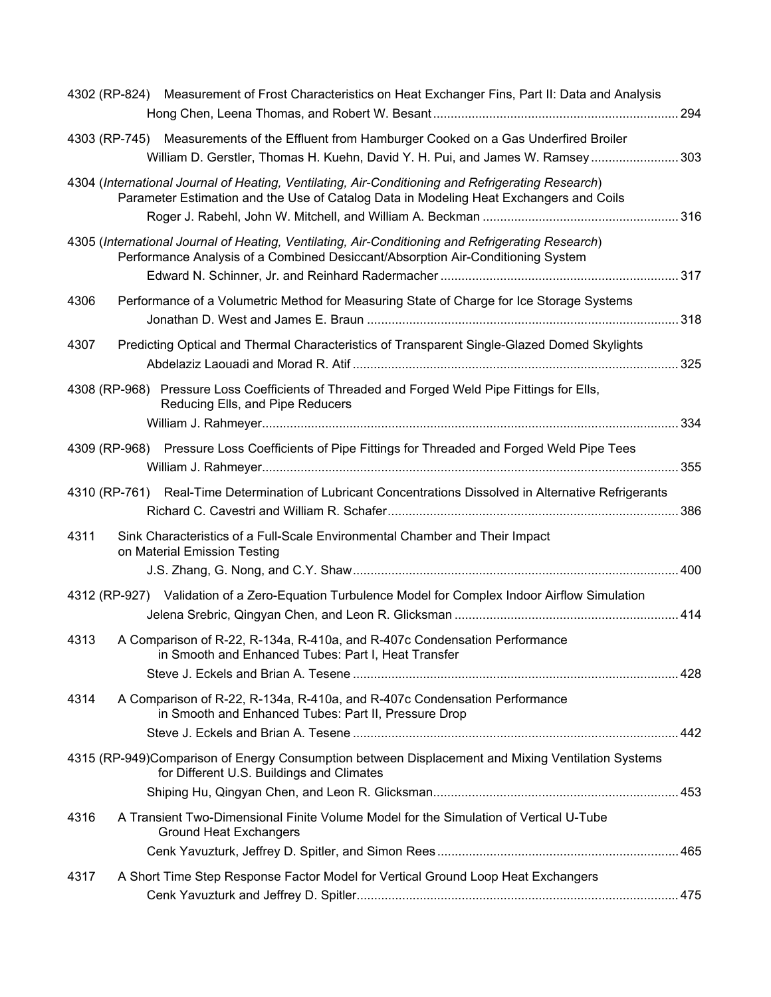|      | 4302 (RP-824) Measurement of Frost Characteristics on Heat Exchanger Fins, Part II: Data and Analysis                                                                                       |  |
|------|---------------------------------------------------------------------------------------------------------------------------------------------------------------------------------------------|--|
|      | 4303 (RP-745) Measurements of the Effluent from Hamburger Cooked on a Gas Underfired Broiler<br>William D. Gerstler, Thomas H. Kuehn, David Y. H. Pui, and James W. Ramsey 303              |  |
|      | 4304 (International Journal of Heating, Ventilating, Air-Conditioning and Refrigerating Research)<br>Parameter Estimation and the Use of Catalog Data in Modeling Heat Exchangers and Coils |  |
|      | 4305 (International Journal of Heating, Ventilating, Air-Conditioning and Refrigerating Research)<br>Performance Analysis of a Combined Desiccant/Absorption Air-Conditioning System        |  |
| 4306 | Performance of a Volumetric Method for Measuring State of Charge for Ice Storage Systems                                                                                                    |  |
| 4307 | Predicting Optical and Thermal Characteristics of Transparent Single-Glazed Domed Skylights                                                                                                 |  |
|      | 4308 (RP-968) Pressure Loss Coefficients of Threaded and Forged Weld Pipe Fittings for Ells,<br>Reducing Ells, and Pipe Reducers                                                            |  |
|      | 4309 (RP-968) Pressure Loss Coefficients of Pipe Fittings for Threaded and Forged Weld Pipe Tees                                                                                            |  |
|      | 4310 (RP-761) Real-Time Determination of Lubricant Concentrations Dissolved in Alternative Refrigerants                                                                                     |  |
| 4311 | Sink Characteristics of a Full-Scale Environmental Chamber and Their Impact<br>on Material Emission Testing                                                                                 |  |
|      | 4312 (RP-927) Validation of a Zero-Equation Turbulence Model for Complex Indoor Airflow Simulation                                                                                          |  |
| 4313 | A Comparison of R-22, R-134a, R-410a, and R-407c Condensation Performance<br>in Smooth and Enhanced Tubes: Part I, Heat Transfer                                                            |  |
| 4314 | A Comparison of R-22, R-134a, R-410a, and R-407c Condensation Performance<br>in Smooth and Enhanced Tubes: Part II, Pressure Drop                                                           |  |
|      | 4315 (RP-949)Comparison of Energy Consumption between Displacement and Mixing Ventilation Systems<br>for Different U.S. Buildings and Climates                                              |  |
|      |                                                                                                                                                                                             |  |
| 4316 | A Transient Two-Dimensional Finite Volume Model for the Simulation of Vertical U-Tube<br><b>Ground Heat Exchangers</b>                                                                      |  |
| 4317 | A Short Time Step Response Factor Model for Vertical Ground Loop Heat Exchangers                                                                                                            |  |
|      |                                                                                                                                                                                             |  |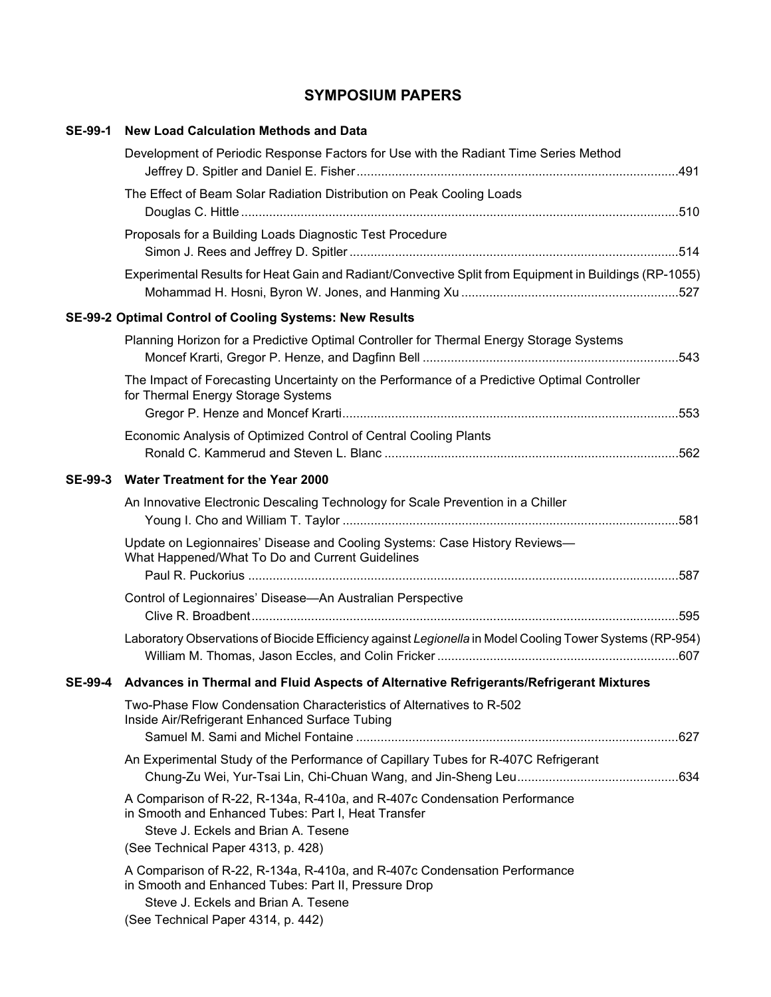## **SYMPOSIUM PAPERS**

| <b>SE-99-1</b> | <b>New Load Calculation Methods and Data</b>                                                                                                                                                                   |  |
|----------------|----------------------------------------------------------------------------------------------------------------------------------------------------------------------------------------------------------------|--|
|                | Development of Periodic Response Factors for Use with the Radiant Time Series Method                                                                                                                           |  |
|                | The Effect of Beam Solar Radiation Distribution on Peak Cooling Loads                                                                                                                                          |  |
|                | Proposals for a Building Loads Diagnostic Test Procedure                                                                                                                                                       |  |
|                | Experimental Results for Heat Gain and Radiant/Convective Split from Equipment in Buildings (RP-1055)                                                                                                          |  |
|                | SE-99-2 Optimal Control of Cooling Systems: New Results                                                                                                                                                        |  |
|                | Planning Horizon for a Predictive Optimal Controller for Thermal Energy Storage Systems                                                                                                                        |  |
|                | The Impact of Forecasting Uncertainty on the Performance of a Predictive Optimal Controller<br>for Thermal Energy Storage Systems                                                                              |  |
|                |                                                                                                                                                                                                                |  |
|                | Economic Analysis of Optimized Control of Central Cooling Plants                                                                                                                                               |  |
|                |                                                                                                                                                                                                                |  |
| <b>SE-99-3</b> | <b>Water Treatment for the Year 2000</b>                                                                                                                                                                       |  |
|                | An Innovative Electronic Descaling Technology for Scale Prevention in a Chiller                                                                                                                                |  |
|                | Update on Legionnaires' Disease and Cooling Systems: Case History Reviews-<br>What Happened/What To Do and Current Guidelines                                                                                  |  |
|                | Control of Legionnaires' Disease-An Australian Perspective                                                                                                                                                     |  |
|                | Laboratory Observations of Biocide Efficiency against Legionella in Model Cooling Tower Systems (RP-954)                                                                                                       |  |
|                | SE-99-4 Advances in Thermal and Fluid Aspects of Alternative Refrigerants/Refrigerant Mixtures                                                                                                                 |  |
|                | Two-Phase Flow Condensation Characteristics of Alternatives to R-502<br>Inside Air/Refrigerant Enhanced Surface Tubing                                                                                         |  |
|                | An Experimental Study of the Performance of Capillary Tubes for R-407C Refrigerant                                                                                                                             |  |
|                | A Comparison of R-22, R-134a, R-410a, and R-407c Condensation Performance<br>in Smooth and Enhanced Tubes: Part I, Heat Transfer<br>Steve J. Eckels and Brian A. Tesene<br>(See Technical Paper 4313, p. 428)  |  |
|                | A Comparison of R-22, R-134a, R-410a, and R-407c Condensation Performance<br>in Smooth and Enhanced Tubes: Part II, Pressure Drop<br>Steve J. Eckels and Brian A. Tesene<br>(See Technical Paper 4314, p. 442) |  |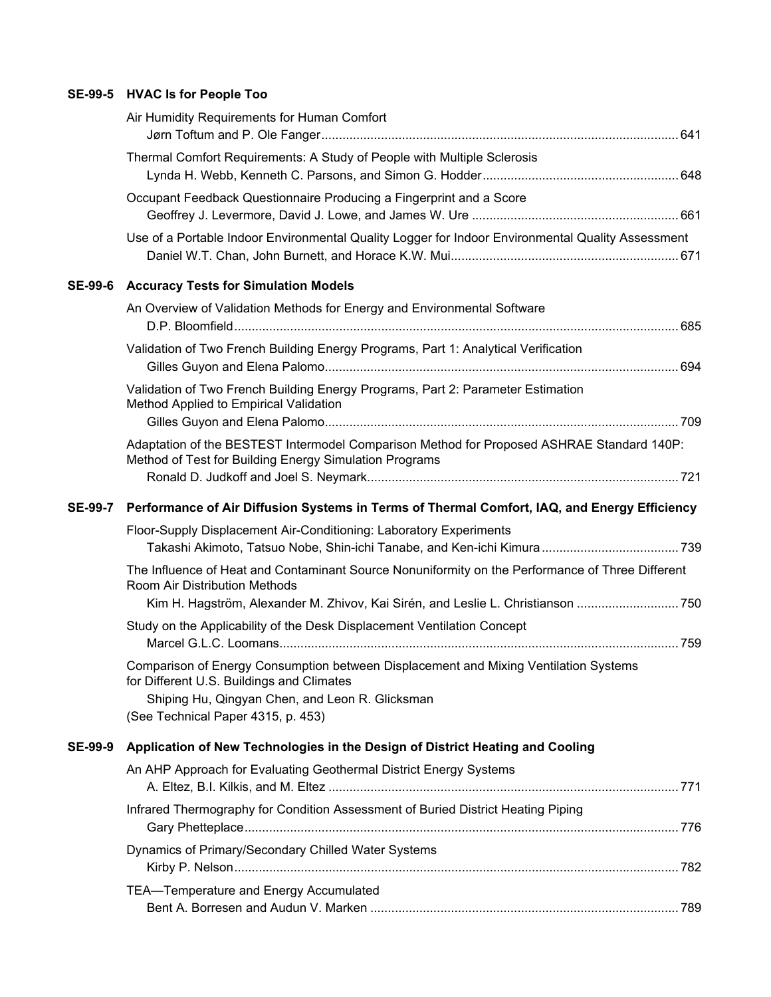### **SE-99-5 HVAC Is for People Too**

|                | Air Humidity Requirements for Human Comfort                                                                                                         |  |
|----------------|-----------------------------------------------------------------------------------------------------------------------------------------------------|--|
|                | Thermal Comfort Requirements: A Study of People with Multiple Sclerosis                                                                             |  |
|                | Occupant Feedback Questionnaire Producing a Fingerprint and a Score                                                                                 |  |
|                | Use of a Portable Indoor Environmental Quality Logger for Indoor Environmental Quality Assessment                                                   |  |
| <b>SE-99-6</b> | <b>Accuracy Tests for Simulation Models</b>                                                                                                         |  |
|                | An Overview of Validation Methods for Energy and Environmental Software                                                                             |  |
|                | Validation of Two French Building Energy Programs, Part 1: Analytical Verification                                                                  |  |
|                | Validation of Two French Building Energy Programs, Part 2: Parameter Estimation<br>Method Applied to Empirical Validation                           |  |
|                | Adaptation of the BESTEST Intermodel Comparison Method for Proposed ASHRAE Standard 140P:<br>Method of Test for Building Energy Simulation Programs |  |
| <b>SE-99-7</b> | Performance of Air Diffusion Systems in Terms of Thermal Comfort, IAQ, and Energy Efficiency                                                        |  |
|                | Floor-Supply Displacement Air-Conditioning: Laboratory Experiments                                                                                  |  |
|                |                                                                                                                                                     |  |
|                | The Influence of Heat and Contaminant Source Nonuniformity on the Performance of Three Different<br>Room Air Distribution Methods                   |  |
|                | Kim H. Hagström, Alexander M. Zhivov, Kai Sirén, and Leslie L. Christianson 750                                                                     |  |
|                | Study on the Applicability of the Desk Displacement Ventilation Concept                                                                             |  |
|                | Comparison of Energy Consumption between Displacement and Mixing Ventilation Systems<br>for Different U.S. Buildings and Climates                   |  |
|                | Shiping Hu, Qingyan Chen, and Leon R. Glicksman<br>(See Technical Paper 4315, p. 453)                                                               |  |
| <b>SE-99-9</b> | Application of New Technologies in the Design of District Heating and Cooling                                                                       |  |
|                | An AHP Approach for Evaluating Geothermal District Energy Systems                                                                                   |  |
|                | Infrared Thermography for Condition Assessment of Buried District Heating Piping                                                                    |  |
|                | Dynamics of Primary/Secondary Chilled Water Systems                                                                                                 |  |
|                | TEA-Temperature and Energy Accumulated                                                                                                              |  |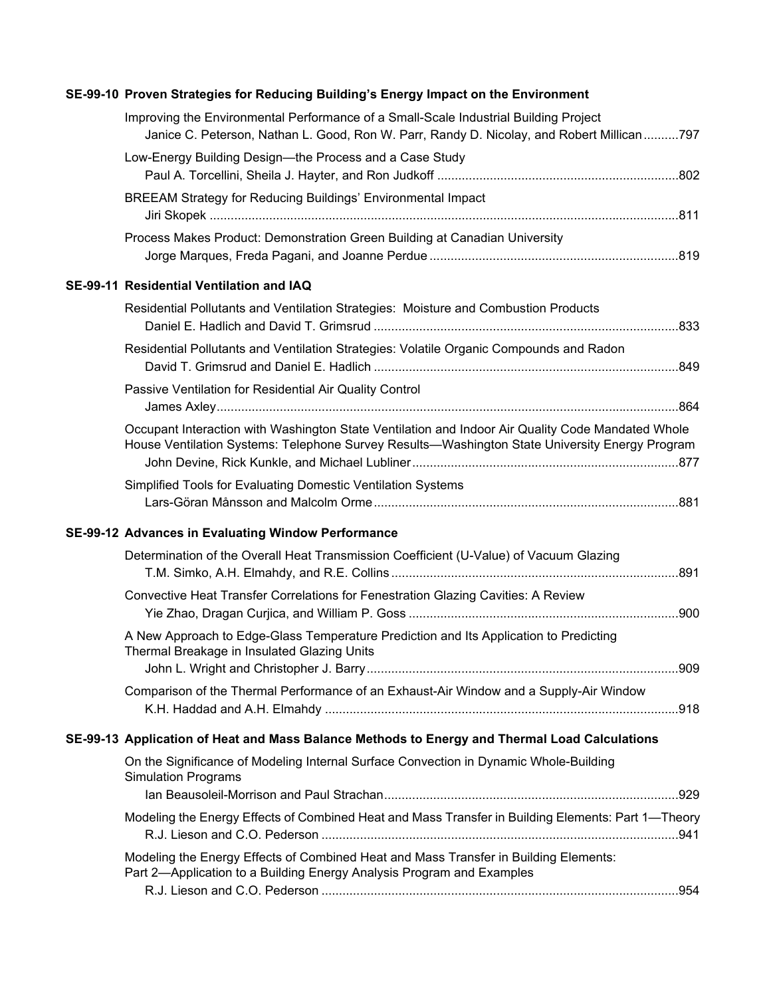| Improving the Environmental Performance of a Small-Scale Industrial Building Project                                                                                                                |  |
|-----------------------------------------------------------------------------------------------------------------------------------------------------------------------------------------------------|--|
| Janice C. Peterson, Nathan L. Good, Ron W. Parr, Randy D. Nicolay, and Robert Millican797                                                                                                           |  |
| Low-Energy Building Design-the Process and a Case Study                                                                                                                                             |  |
| BREEAM Strategy for Reducing Buildings' Environmental Impact                                                                                                                                        |  |
| Process Makes Product: Demonstration Green Building at Canadian University                                                                                                                          |  |
| SE-99-11 Residential Ventilation and IAQ                                                                                                                                                            |  |
| Residential Pollutants and Ventilation Strategies: Moisture and Combustion Products                                                                                                                 |  |
| Residential Pollutants and Ventilation Strategies: Volatile Organic Compounds and Radon                                                                                                             |  |
| Passive Ventilation for Residential Air Quality Control                                                                                                                                             |  |
| Occupant Interaction with Washington State Ventilation and Indoor Air Quality Code Mandated Whole<br>House Ventilation Systems: Telephone Survey Results-Washington State University Energy Program |  |
| Simplified Tools for Evaluating Domestic Ventilation Systems                                                                                                                                        |  |
| SE-99-12 Advances in Evaluating Window Performance                                                                                                                                                  |  |
| Determination of the Overall Heat Transmission Coefficient (U-Value) of Vacuum Glazing                                                                                                              |  |
| Convective Heat Transfer Correlations for Fenestration Glazing Cavities: A Review                                                                                                                   |  |
| A New Approach to Edge-Glass Temperature Prediction and Its Application to Predicting<br>Thermal Breakage in Insulated Glazing Units                                                                |  |
| Comparison of the Thermal Performance of an Exhaust-Air Window and a Supply-Air Window                                                                                                              |  |
| SE-99-13 Application of Heat and Mass Balance Methods to Energy and Thermal Load Calculations                                                                                                       |  |
| On the Significance of Modeling Internal Surface Convection in Dynamic Whole-Building<br><b>Simulation Programs</b>                                                                                 |  |
|                                                                                                                                                                                                     |  |

#### **SE-99-10 Proven Strategies for Reducing Building's Energy Impact on the Environment**

| Modeling the Energy Effects of Combined Heat and Mass Transfer in Building Elements: |  |
|--------------------------------------------------------------------------------------|--|
| Part 2—Application to a Building Energy Analysis Program and Examples                |  |
|                                                                                      |  |

Modeling the Energy Effects of Combined Heat and Mass Transfer in Building Elements: Part 1—Theory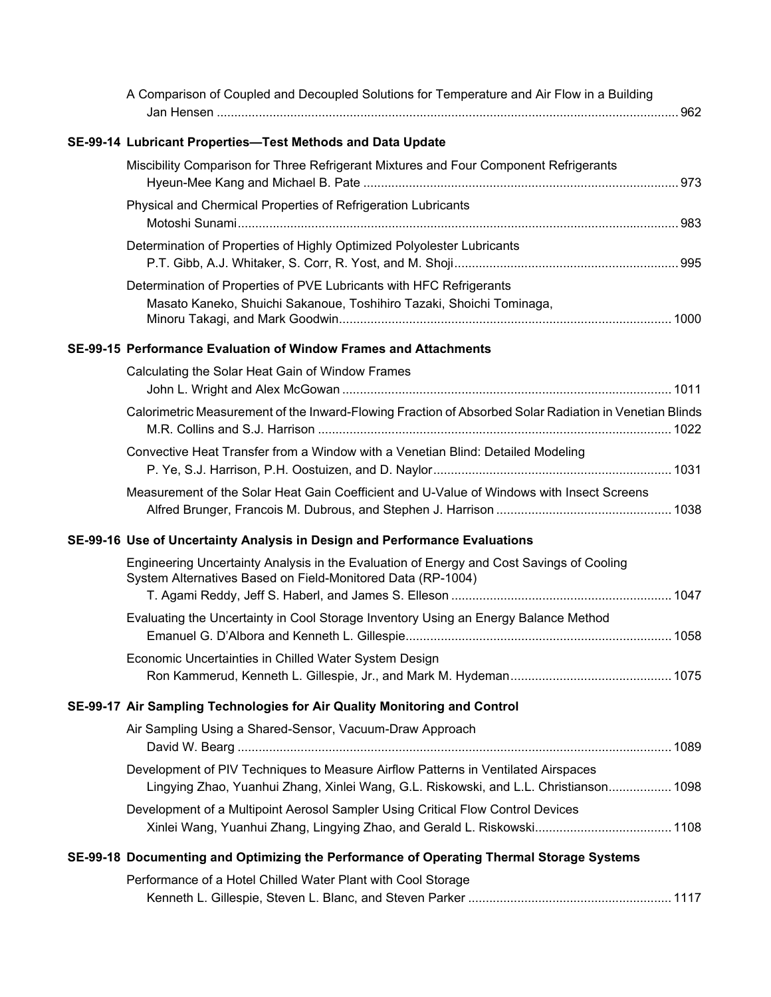| A Comparison of Coupled and Decoupled Solutions for Temperature and Air Flow in a Building                                                                                 |  |
|----------------------------------------------------------------------------------------------------------------------------------------------------------------------------|--|
| SE-99-14 Lubricant Properties-Test Methods and Data Update                                                                                                                 |  |
| Miscibility Comparison for Three Refrigerant Mixtures and Four Component Refrigerants                                                                                      |  |
| Physical and Chermical Properties of Refrigeration Lubricants                                                                                                              |  |
| Determination of Properties of Highly Optimized Polyolester Lubricants                                                                                                     |  |
| Determination of Properties of PVE Lubricants with HFC Refrigerants<br>Masato Kaneko, Shuichi Sakanoue, Toshihiro Tazaki, Shoichi Tominaga,                                |  |
| SE-99-15 Performance Evaluation of Window Frames and Attachments                                                                                                           |  |
| Calculating the Solar Heat Gain of Window Frames                                                                                                                           |  |
| Calorimetric Measurement of the Inward-Flowing Fraction of Absorbed Solar Radiation in Venetian Blinds                                                                     |  |
| Convective Heat Transfer from a Window with a Venetian Blind: Detailed Modeling                                                                                            |  |
| Measurement of the Solar Heat Gain Coefficient and U-Value of Windows with Insect Screens                                                                                  |  |
| SE-99-16 Use of Uncertainty Analysis in Design and Performance Evaluations                                                                                                 |  |
| Engineering Uncertainty Analysis in the Evaluation of Energy and Cost Savings of Cooling<br>System Alternatives Based on Field-Monitored Data (RP-1004)                    |  |
| Evaluating the Uncertainty in Cool Storage Inventory Using an Energy Balance Method                                                                                        |  |
| Economic Uncertainties in Chilled Water System Design                                                                                                                      |  |
| SE-99-17 Air Sampling Technologies for Air Quality Monitoring and Control                                                                                                  |  |
| Air Sampling Using a Shared-Sensor, Vacuum-Draw Approach                                                                                                                   |  |
| Development of PIV Techniques to Measure Airflow Patterns in Ventilated Airspaces<br>Lingying Zhao, Yuanhui Zhang, Xinlei Wang, G.L. Riskowski, and L.L. Christianson 1098 |  |
| Development of a Multipoint Aerosol Sampler Using Critical Flow Control Devices<br>Xinlei Wang, Yuanhui Zhang, Lingying Zhao, and Gerald L. Riskowski 1108                 |  |
| SE-99-18 Documenting and Optimizing the Performance of Operating Thermal Storage Systems                                                                                   |  |
| Performance of a Hotel Chilled Water Plant with Cool Storage                                                                                                               |  |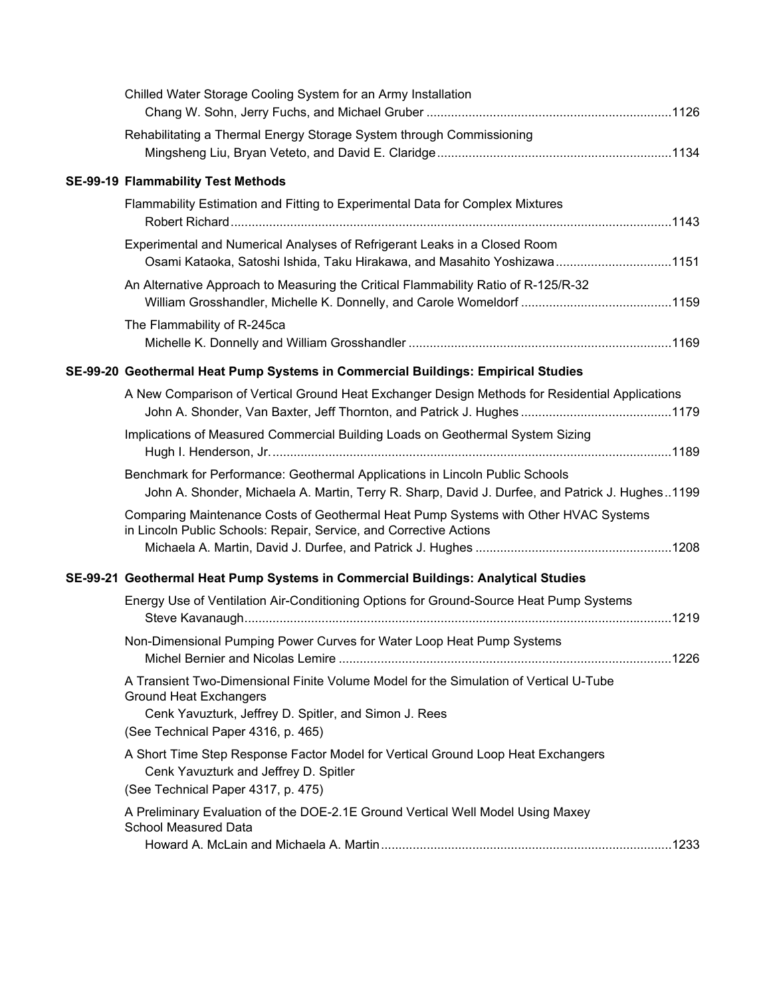| Chilled Water Storage Cooling System for an Army Installation                                                                                                                                                         |
|-----------------------------------------------------------------------------------------------------------------------------------------------------------------------------------------------------------------------|
| Rehabilitating a Thermal Energy Storage System through Commissioning                                                                                                                                                  |
| <b>SE-99-19 Flammability Test Methods</b>                                                                                                                                                                             |
| Flammability Estimation and Fitting to Experimental Data for Complex Mixtures                                                                                                                                         |
| Experimental and Numerical Analyses of Refrigerant Leaks in a Closed Room<br>Osami Kataoka, Satoshi Ishida, Taku Hirakawa, and Masahito Yoshizawa1151                                                                 |
| An Alternative Approach to Measuring the Critical Flammability Ratio of R-125/R-32                                                                                                                                    |
| The Flammability of R-245ca                                                                                                                                                                                           |
| SE-99-20 Geothermal Heat Pump Systems in Commercial Buildings: Empirical Studies                                                                                                                                      |
| A New Comparison of Vertical Ground Heat Exchanger Design Methods for Residential Applications                                                                                                                        |
| Implications of Measured Commercial Building Loads on Geothermal System Sizing                                                                                                                                        |
| Benchmark for Performance: Geothermal Applications in Lincoln Public Schools<br>John A. Shonder, Michaela A. Martin, Terry R. Sharp, David J. Durfee, and Patrick J. Hughes1199                                       |
| Comparing Maintenance Costs of Geothermal Heat Pump Systems with Other HVAC Systems<br>in Lincoln Public Schools: Repair, Service, and Corrective Actions                                                             |
| SE-99-21 Geothermal Heat Pump Systems in Commercial Buildings: Analytical Studies                                                                                                                                     |
| Energy Use of Ventilation Air-Conditioning Options for Ground-Source Heat Pump Systems                                                                                                                                |
| Non-Dimensional Pumping Power Curves for Water Loop Heat Pump Systems                                                                                                                                                 |
| A Transient Two-Dimensional Finite Volume Model for the Simulation of Vertical U-Tube<br><b>Ground Heat Exchangers</b><br>Cenk Yavuzturk, Jeffrey D. Spitler, and Simon J. Rees<br>(See Technical Paper 4316, p. 465) |
| A Short Time Step Response Factor Model for Vertical Ground Loop Heat Exchangers<br>Cenk Yavuzturk and Jeffrey D. Spitler<br>(See Technical Paper 4317, p. 475)                                                       |
| A Preliminary Evaluation of the DOE-2.1E Ground Vertical Well Model Using Maxey<br><b>School Measured Data</b>                                                                                                        |